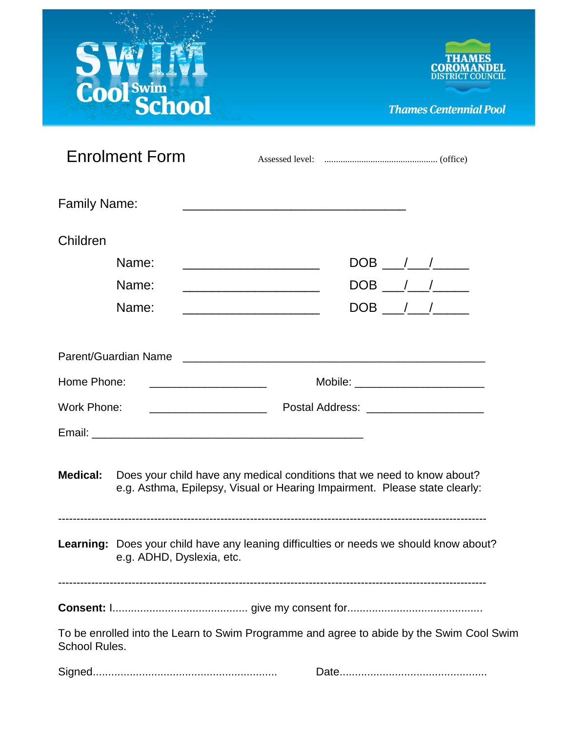# SWINT



**Thames Centennial Pool** 

|                     | <b>Enrolment Form</b>                                                                                                                                 |                                                                                                                        |                                                                                                                        |  |  |  |  |  |
|---------------------|-------------------------------------------------------------------------------------------------------------------------------------------------------|------------------------------------------------------------------------------------------------------------------------|------------------------------------------------------------------------------------------------------------------------|--|--|--|--|--|
| <b>Family Name:</b> |                                                                                                                                                       |                                                                                                                        |                                                                                                                        |  |  |  |  |  |
| Children            |                                                                                                                                                       |                                                                                                                        |                                                                                                                        |  |  |  |  |  |
|                     | Name:                                                                                                                                                 |                                                                                                                        |                                                                                                                        |  |  |  |  |  |
|                     | Name:                                                                                                                                                 |                                                                                                                        | <u> 1980 - Johann Stein, marwolaethau a bhann an t-Albann an t-Albann an t-Albann an t-Albann an t-Albann an t-Alb</u> |  |  |  |  |  |
|                     | Name:                                                                                                                                                 | <u> 1980 - Johann Stein, marwolaethau a bhann an t-Albann an t-Albann an t-Albann an t-Albann an t-Albann an t-Alb</u> |                                                                                                                        |  |  |  |  |  |
|                     |                                                                                                                                                       |                                                                                                                        |                                                                                                                        |  |  |  |  |  |
| Home Phone:         |                                                                                                                                                       | Mobile: __________________________                                                                                     |                                                                                                                        |  |  |  |  |  |
| Work Phone:         |                                                                                                                                                       | Postal Address: _____________________                                                                                  |                                                                                                                        |  |  |  |  |  |
|                     |                                                                                                                                                       |                                                                                                                        |                                                                                                                        |  |  |  |  |  |
| <b>Medical:</b>     | Does your child have any medical conditions that we need to know about?<br>e.g. Asthma, Epilepsy, Visual or Hearing Impairment. Please state clearly: |                                                                                                                        |                                                                                                                        |  |  |  |  |  |
|                     | Learning: Does your child have any leaning difficulties or needs we should know about?<br>e.g. ADHD, Dyslexia, etc.                                   |                                                                                                                        |                                                                                                                        |  |  |  |  |  |
|                     |                                                                                                                                                       |                                                                                                                        |                                                                                                                        |  |  |  |  |  |
| School Rules.       | To be enrolled into the Learn to Swim Programme and agree to abide by the Swim Cool Swim                                                              |                                                                                                                        |                                                                                                                        |  |  |  |  |  |
|                     |                                                                                                                                                       |                                                                                                                        |                                                                                                                        |  |  |  |  |  |